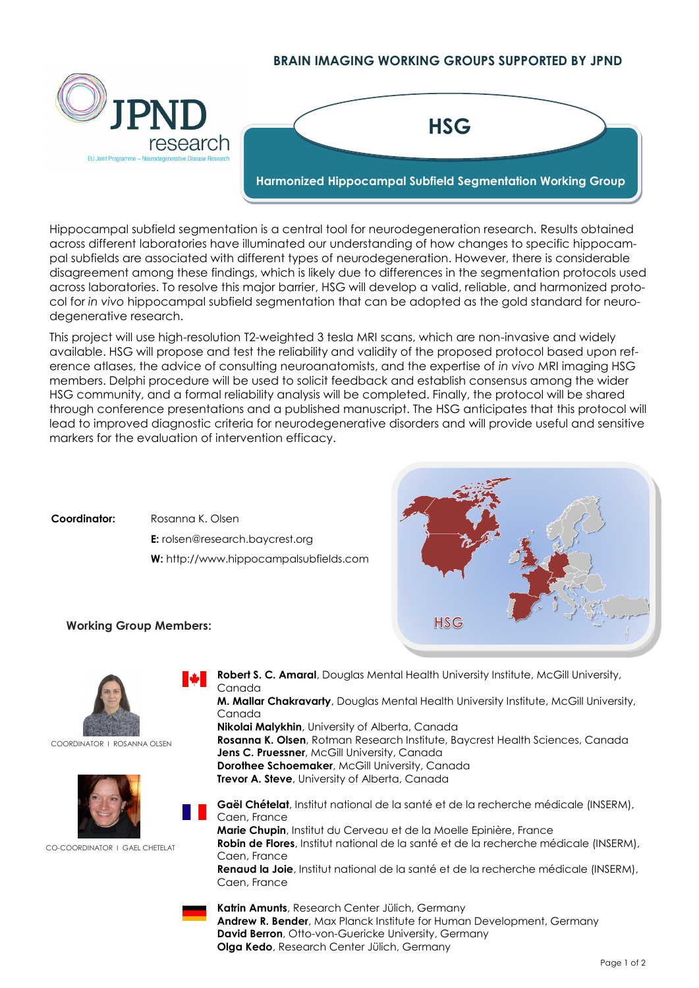## **BRAIN IMAGING WORKING GROUPS SUPPORTED BY JPND**



Hippocampal subfield segmentation is a central tool for neurodegeneration research. Results obtained across different laboratories have illuminated our understanding of how changes to specific hippocampal subfields are associated with different types of neurodegeneration. However, there is considerable disagreement among these findings, which is likely due to differences in the segmentation protocols used across laboratories. To resolve this major barrier, HSG will develop a valid, reliable, and harmonized protocol for *in vivo* hippocampal subfield segmentation that can be adopted as the gold standard for neurodegenerative research.

This project will use high-resolution T2-weighted 3 tesla MRI scans, which are non-invasive and widely available. HSG will propose and test the reliability and validity of the proposed protocol based upon reference atlases, the advice of consulting neuroanatomists, and the expertise of *in vivo* MRI imaging HSG members. Delphi procedure will be used to solicit feedback and establish consensus among the wider HSG community, and a formal reliability analysis will be completed. Finally, the protocol will be shared through conference presentations and a published manuscript. The HSG anticipates that this protocol will lead to improved diagnostic criteria for neurodegenerative disorders and will provide useful and sensitive markers for the evaluation of intervention efficacy.

**Coordinator:** Rosanna K. Olsen **E:** [rolsen@research.baycrest.org](mailto:rolsen@research.baycrest.org) **W:** http://www.hippocampalsubfields.com



## **Working Group Members:**



COORDINATOR I ROSANNA OLSEN



CO-COORDINATOR L GAEL CHETELAT

**Robert S. C. Amaral**, Douglas Mental Health University Institute, McGill University, Canada **M. Mallar Chakravarty**, Douglas Mental Health University Institute, McGill University, Canada **Nikolai Malykhin**, University of Alberta, Canada **Rosanna K. Olsen**, Rotman Research Institute, Baycrest Health Sciences, Canada **Jens C. Pruessner**, McGill University, Canada **Dorothee Schoemaker**, McGill University, Canada **Trevor A. Steve**, University of Alberta, Canada

**Gaël Chételat**, Institut national de la santé et de la recherche médicale (INSERM), Caen, France **Marie Chupin**, Institut du Cerveau et de la Moelle Epinière, France **Robin de Flores**, Institut national de la santé et de la recherche médicale (INSERM), Caen, France **Renaud la Joie**, Institut national de la santé et de la recherche médicale (INSERM), Caen, France

**Katrin Amunts**, Research Center Jülich, Germany **Andrew R. Bender**, Max Planck Institute for Human Development, Germany **David Berron**, Otto-von-Guericke University, Germany **Olga Kedo**, Research Center Jülich, Germany